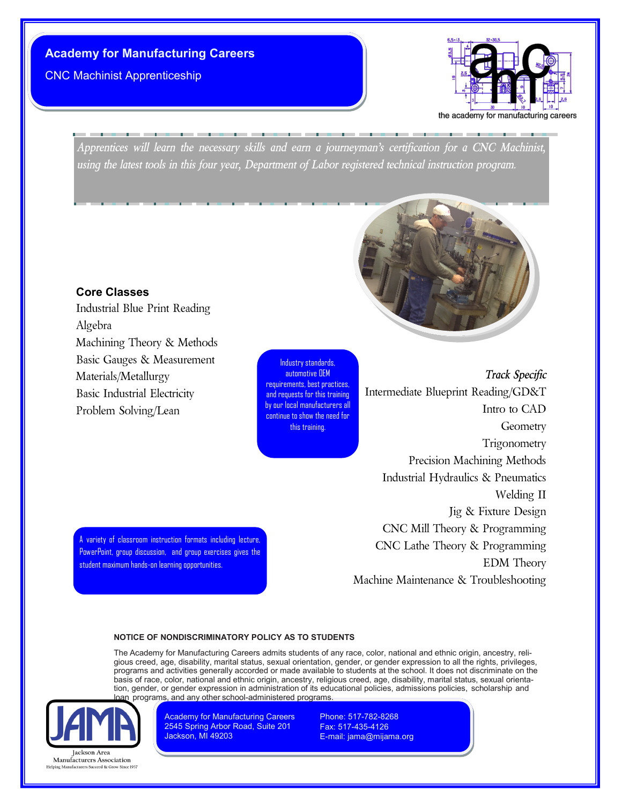# **Academy for Manufacturing Careers**

CNC Machinist Apprenticeship



*Apprentices will learn the necessary skills and earn a journeyman's certification for a CNC Machinist, using the latest tools in this four year, Department of Labor registered technical instruction program.*

## **Core Classes**

Industrial Blue Print Reading Algebra Machining Theory & Methods Basic Gauges & Measurement Materials/Metallurgy Basic Industrial Electricity Problem Solving/Lean

Industry standards, automotive OEM requirements, best practices, and requests for this training by our local manufacturers all continue to show the need for this training.

*Track Specific* Intermediate Blueprint Reading/GD&T Intro to CAD **Geometry Trigonometry** Precision Machining Methods Industrial Hydraulics & Pneumatics Welding II Jig & Fixture Design CNC Mill Theory & Programming CNC Lathe Theory & Programming EDM Theory Machine Maintenance & Troubleshooting

A variety of classroom instruction formats including lecture, PowerPoint, group discussion, and group exercises gives the student maximum hands-on learning opportunities.

#### **NOTICE OF NONDISCRIMINATORY POLICY AS TO STUDENTS**

The Academy for Manufacturing Careers admits students of any race, color, national and ethnic origin, ancestry, religious creed, age, disability, marital status, sexual orientation, gender, or gender expression to all the rights, privileges, programs and activities generally accorded or made available to students at the school. It does not discriminate on the basis of race, color, national and ethnic origin, ancestry, religious creed, age, disability, marital status, sexual orientation, gender, or gender expression in administration of its educational policies, admissions policies, scholarship and programs, and any other school-administered programs.



Manufacturers Association Succeed & Grow Since 1937 Academy for Manufacturing Careers 2545 Spring Arbor Road, Suite 201 Jackson, MI 49203

Phone: 517-782-8268 Fax: 517-435-4126 E-mail: jama@mijama.org